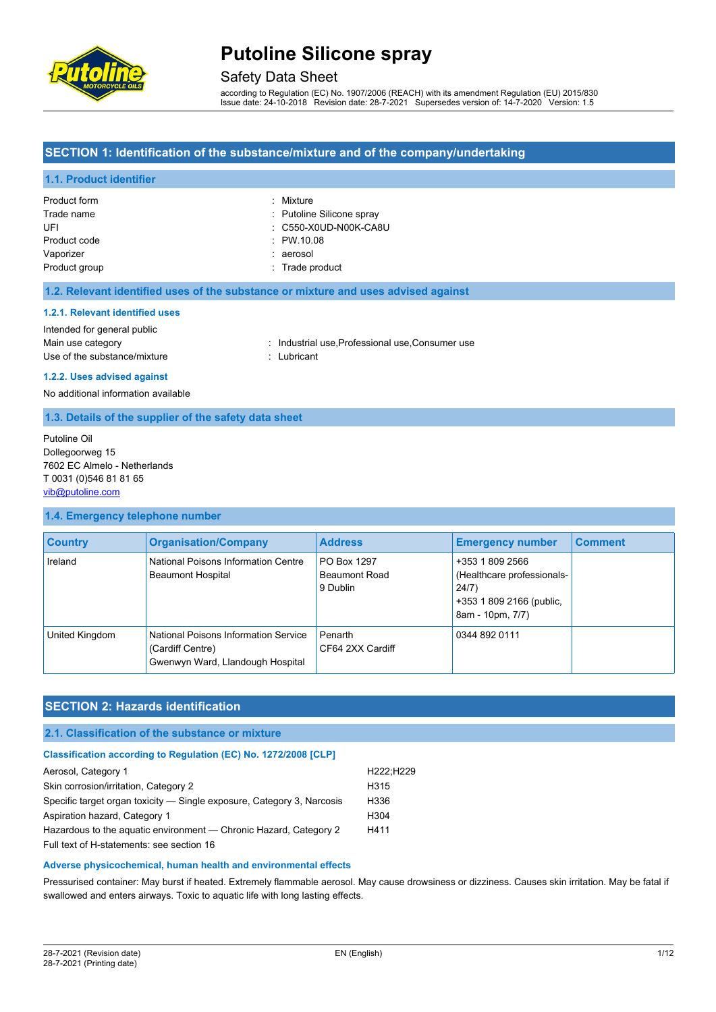

### Safety Data Sheet

according to Regulation (EC) No. 1907/2006 (REACH) with its amendment Regulation (EU) 2015/830 Issue date: 24-10-2018 Revision date: 28-7-2021 Supersedes version of: 14-7-2020 Version: 1.5

#### **SECTION 1: Identification of the substance/mixture and of the company/undertaking**

#### **1.1. Product identifier**

| Product form  | : Mixture                 |
|---------------|---------------------------|
| Trade name    | : Putoline Silicone spray |
| UFI           | : C550-X0UD-N00K-CA8U     |
| Product code  | : PW.10.08                |
| Vaporizer     | : aerosol                 |
| Product group | : Trade product           |

#### **1.2. Relevant identified uses of the substance or mixture and uses advised against**

#### **1.2.1. Relevant identified uses**

Intended for general public Use of the substance/mixture in the substance of the substance of the substant

Main use category **industrial use, Professional use, Consumer use** in Main use category

# **1.2.2. Uses advised against**

No additional information available

#### **1.3. Details of the supplier of the safety data sheet**

Putoline Oil Dollegoorweg 15 7602 EC Almelo - Netherlands T 0031 (0)546 81 81 65 [vib@putoline.com](mailto:vib@putoline.com)

#### **1.4. Emergency telephone number**

| <b>Country</b> | <b>Organisation/Company</b>                                                                  | <b>Address</b>                                  | <b>Emergency number</b>                                                                                | <b>Comment</b> |
|----------------|----------------------------------------------------------------------------------------------|-------------------------------------------------|--------------------------------------------------------------------------------------------------------|----------------|
| Ireland        | National Poisons Information Centre<br><b>Beaumont Hospital</b>                              | PO Box 1297<br><b>Beaumont Road</b><br>9 Dublin | +353 1 809 2566<br>(Healthcare professionals-<br>24/7)<br>+353 1 809 2166 (public,<br>8am - 10pm, 7/7) |                |
| United Kingdom | National Poisons Information Service<br>(Cardiff Centre)<br>Gwenwyn Ward, Llandough Hospital | Penarth<br>CF64 2XX Cardiff                     | 0344 892 0111                                                                                          |                |

### **SECTION 2: Hazards identification**

#### **2.1. Classification of the substance or mixture**

#### **Classification according to Regulation (EC) No. 1272/2008 [CLP]**

| Aerosol, Category 1                                                    | H222:H229        |
|------------------------------------------------------------------------|------------------|
| Skin corrosion/irritation, Category 2                                  | H <sub>315</sub> |
| Specific target organ toxicity — Single exposure, Category 3, Narcosis | H336             |
| Aspiration hazard, Category 1                                          | H <sub>304</sub> |
| Hazardous to the aquatic environment — Chronic Hazard, Category 2      | H411             |
| Full text of H-statements: see section 16                              |                  |

#### **Adverse physicochemical, human health and environmental effects**

Pressurised container: May burst if heated. Extremely flammable aerosol. May cause drowsiness or dizziness. Causes skin irritation. May be fatal if swallowed and enters airways. Toxic to aquatic life with long lasting effects.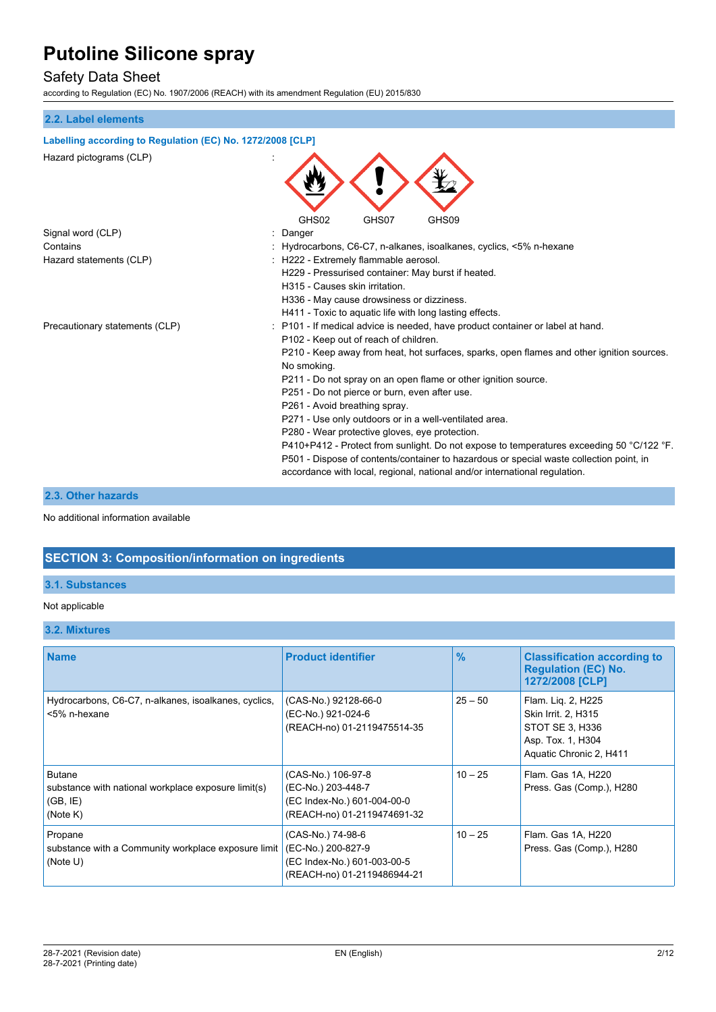## Safety Data Sheet

according to Regulation (EC) No. 1907/2006 (REACH) with its amendment Regulation (EU) 2015/830

# **2.2. Label elements Labelling according to Regulation (EC) No. 1272/2008 [CLP]** Hazard pictograms (CLP) : GHS02 GHS07 GHS09 Signal word (CLP) **in the set of the Signal word (CLP)** and the set of the set of the Signal and the Signal and S Contains : Hydrocarbons, C6-C7, n-alkanes, isoalkanes, cyclics, <5% n-hexane Hazard statements (CLP)  $\qquad \qquad$  : H222 - Extremely flammable aerosol. H229 - Pressurised container: May burst if heated. H315 - Causes skin irritation. H336 - May cause drowsiness or dizziness. H411 - Toxic to aquatic life with long lasting effects. Precautionary statements (CLP) : P101 - If medical advice is needed, have product container or label at hand. P102 - Keep out of reach of children. P210 - Keep away from heat, hot surfaces, sparks, open flames and other ignition sources. No smoking. P211 - Do not spray on an open flame or other ignition source. P251 - Do not pierce or burn, even after use. P261 - Avoid breathing spray. P271 - Use only outdoors or in a well-ventilated area. P280 - Wear protective gloves, eye protection. P410+P412 - Protect from sunlight. Do not expose to temperatures exceeding 50 °C/122 °F. P501 - Dispose of contents/container to hazardous or special waste collection point, in accordance with local, regional, national and/or international regulation.

### **2.3. Other hazards**

No additional information available

### **SECTION 3: Composition/information on ingredients**

#### **3.1. Substances**

#### Not applicable

#### **3.2. Mixtures**

| <b>Name</b>                                                                                  | <b>Product identifier</b>                                                                              | $\frac{0}{2}$ | <b>Classification according to</b><br><b>Regulation (EC) No.</b><br>1272/2008 [CLP]                          |
|----------------------------------------------------------------------------------------------|--------------------------------------------------------------------------------------------------------|---------------|--------------------------------------------------------------------------------------------------------------|
| Hydrocarbons, C6-C7, n-alkanes, isoalkanes, cyclics,<br><5% n-hexane                         | (CAS-No.) 92128-66-0<br>(EC-No.) 921-024-6<br>(REACH-no) 01-2119475514-35                              | $25 - 50$     | Flam. Liq. 2, H225<br>Skin Irrit. 2, H315<br>STOT SE 3, H336<br>Asp. Tox. 1, H304<br>Aquatic Chronic 2, H411 |
| <b>Butane</b><br>substance with national workplace exposure limit(s)<br>(GB, IE)<br>(Note K) | (CAS-No.) 106-97-8<br>(EC-No.) 203-448-7<br>(EC Index-No.) 601-004-00-0<br>(REACH-no) 01-2119474691-32 | $10 - 25$     | Flam. Gas 1A, H220<br>Press. Gas (Comp.), H280                                                               |
| Propane<br>substance with a Community workplace exposure limit<br>(Note U)                   | (CAS-No.) 74-98-6<br>(EC-No.) 200-827-9<br>(EC Index-No.) 601-003-00-5<br>(REACH-no) 01-2119486944-21  | $10 - 25$     | Flam. Gas 1A, H220<br>Press. Gas (Comp.), H280                                                               |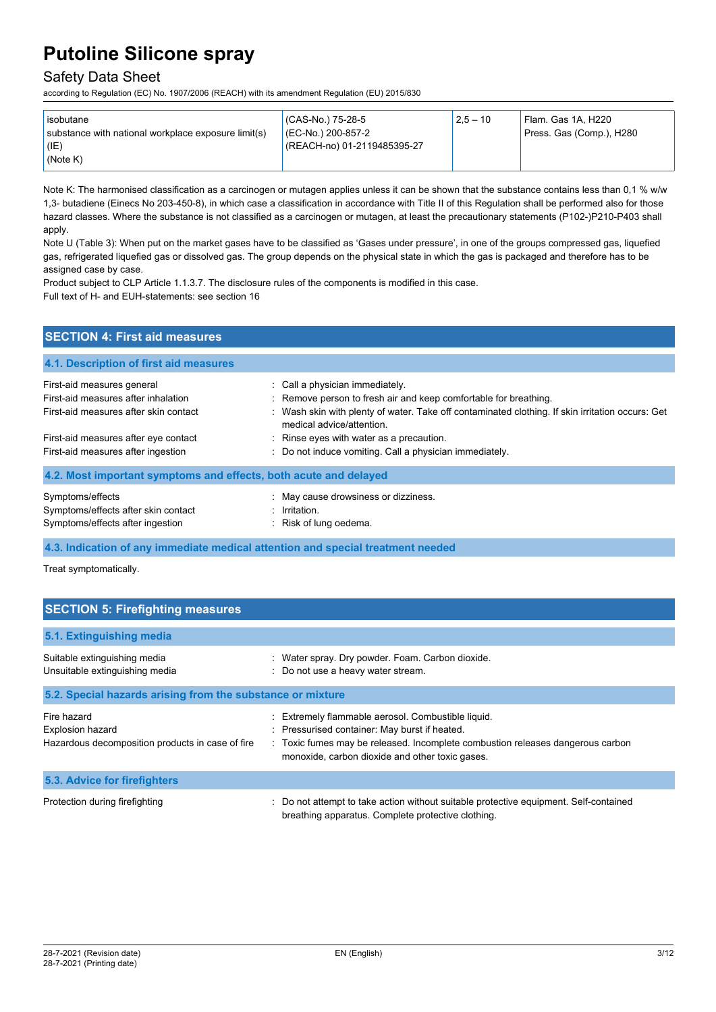## Safety Data Sheet

according to Regulation (EC) No. 1907/2006 (REACH) with its amendment Regulation (EU) 2015/830

| l isobutane                                                                 | (CAS-No.) 75-28-5                                 | $2.5 - 10$ | Flam. Gas 1A, H220       |
|-----------------------------------------------------------------------------|---------------------------------------------------|------------|--------------------------|
| substance with national workplace exposure limit(s)<br>$ $ (IE)<br>(Note K) | (EC-No.) 200-857-2<br>(REACH-no) 01-2119485395-27 |            | Press. Gas (Comp.), H280 |

Note K: The harmonised classification as a carcinogen or mutagen applies unless it can be shown that the substance contains less than 0,1 % w/w 1,3- butadiene (Einecs No 203-450-8), in which case a classification in accordance with Title II of this Regulation shall be performed also for those hazard classes. Where the substance is not classified as a carcinogen or mutagen, at least the precautionary statements (P102-)P210-P403 shall apply.

Note U (Table 3): When put on the market gases have to be classified as 'Gases under pressure', in one of the groups compressed gas, liquefied gas, refrigerated liquefied gas or dissolved gas. The group depends on the physical state in which the gas is packaged and therefore has to be assigned case by case.

Product subject to CLP Article 1.1.3.7. The disclosure rules of the components is modified in this case.

Full text of H- and EUH-statements: see section 16

| <b>SECTION 4: First aid measures</b>                                                                       |                                                                                                                                                                                                                                      |  |  |
|------------------------------------------------------------------------------------------------------------|--------------------------------------------------------------------------------------------------------------------------------------------------------------------------------------------------------------------------------------|--|--|
| 4.1. Description of first aid measures                                                                     |                                                                                                                                                                                                                                      |  |  |
| First-aid measures general<br>First-aid measures after inhalation<br>First-aid measures after skin contact | : Call a physician immediately.<br>: Remove person to fresh air and keep comfortable for breathing.<br>: Wash skin with plenty of water. Take off contaminated clothing. If skin irritation occurs: Get<br>medical advice/attention. |  |  |
| First-aid measures after eye contact<br>First-aid measures after ingestion                                 | Rinse eyes with water as a precaution.<br>: Do not induce vomiting. Call a physician immediately.                                                                                                                                    |  |  |
| 4.2. Most important symptoms and effects, both acute and delayed                                           |                                                                                                                                                                                                                                      |  |  |
| Symptoms/effects<br>Symptoms/effects after skin contact<br>Symptoms/effects after ingestion                | : May cause drowsiness or dizziness.<br>$:$ Irritation.<br>: Risk of lung oedema.                                                                                                                                                    |  |  |

**4.3. Indication of any immediate medical attention and special treatment needed**

Treat symptomatically.

| <b>SECTION 5: Firefighting measures</b>                                                    |                                                                                                                                                                                                                                          |  |  |
|--------------------------------------------------------------------------------------------|------------------------------------------------------------------------------------------------------------------------------------------------------------------------------------------------------------------------------------------|--|--|
| 5.1. Extinguishing media                                                                   |                                                                                                                                                                                                                                          |  |  |
| Suitable extinguishing media<br>Unsuitable extinguishing media                             | : Water spray. Dry powder. Foam. Carbon dioxide.<br>: Do not use a heavy water stream.                                                                                                                                                   |  |  |
| 5.2. Special hazards arising from the substance or mixture                                 |                                                                                                                                                                                                                                          |  |  |
| Fire hazard<br><b>Explosion hazard</b><br>Hazardous decomposition products in case of fire | : Extremely flammable aerosol. Combustible liquid.<br>: Pressurised container: May burst if heated.<br>: Toxic fumes may be released. Incomplete combustion releases dangerous carbon<br>monoxide, carbon dioxide and other toxic gases. |  |  |
| 5.3. Advice for firefighters                                                               |                                                                                                                                                                                                                                          |  |  |
| Protection during firefighting                                                             | : Do not attempt to take action without suitable protective equipment. Self-contained<br>breathing apparatus. Complete protective clothing.                                                                                              |  |  |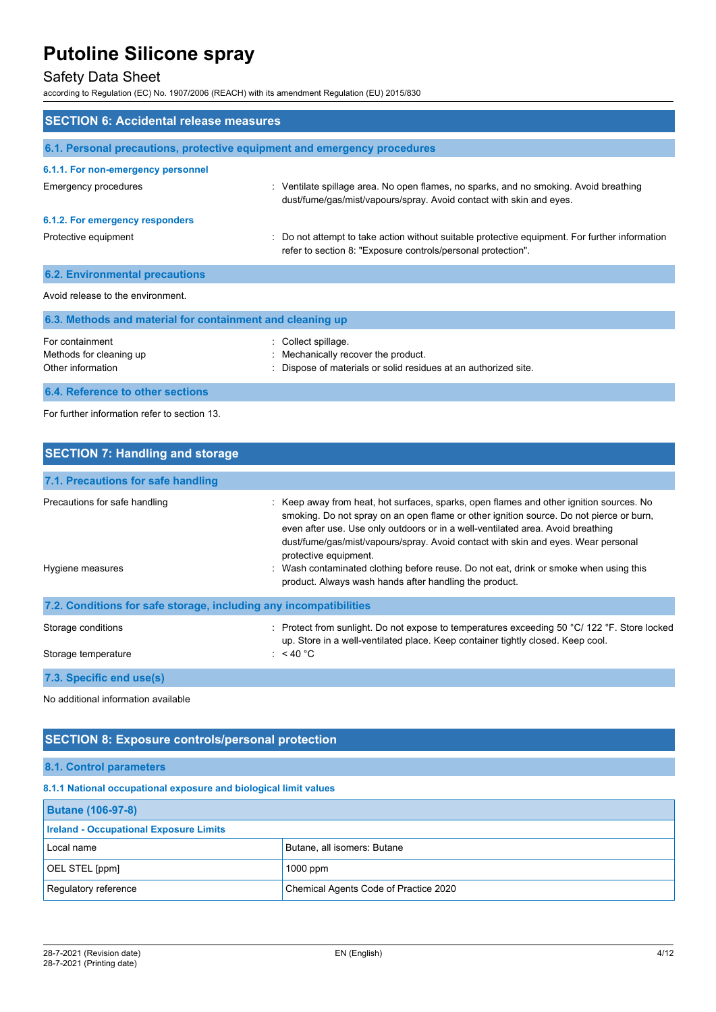# Safety Data Sheet

according to Regulation (EC) No. 1907/2006 (REACH) with its amendment Regulation (EU) 2015/830

| <b>SECTION 6: Accidental release measures</b>                   |                                                                                                                                                                |  |
|-----------------------------------------------------------------|----------------------------------------------------------------------------------------------------------------------------------------------------------------|--|
|                                                                 | 6.1. Personal precautions, protective equipment and emergency procedures                                                                                       |  |
| 6.1.1. For non-emergency personnel                              |                                                                                                                                                                |  |
| <b>Emergency procedures</b>                                     | : Ventilate spillage area. No open flames, no sparks, and no smoking. Avoid breathing<br>dust/fume/gas/mist/vapours/spray. Avoid contact with skin and eyes.   |  |
| 6.1.2. For emergency responders                                 |                                                                                                                                                                |  |
| Protective equipment                                            | : Do not attempt to take action without suitable protective equipment. For further information<br>refer to section 8: "Exposure controls/personal protection". |  |
| <b>6.2. Environmental precautions</b>                           |                                                                                                                                                                |  |
| Avoid release to the environment.                               |                                                                                                                                                                |  |
| 6.3. Methods and material for containment and cleaning up       |                                                                                                                                                                |  |
| For containment<br>Methods for cleaning up<br>Other information | : Collect spillage.<br>: Mechanically recover the product.<br>: Dispose of materials or solid residues at an authorized site.                                  |  |
| 6.4. Reference to other sections                                |                                                                                                                                                                |  |

#### For further information refer to section 13.

| <b>SECTION 7: Handling and storage</b>                            |                                                                                                                                                                                                                                                                                                                                                                                                                                                                                                                                        |  |  |
|-------------------------------------------------------------------|----------------------------------------------------------------------------------------------------------------------------------------------------------------------------------------------------------------------------------------------------------------------------------------------------------------------------------------------------------------------------------------------------------------------------------------------------------------------------------------------------------------------------------------|--|--|
| 7.1. Precautions for safe handling                                |                                                                                                                                                                                                                                                                                                                                                                                                                                                                                                                                        |  |  |
| Precautions for safe handling<br>Hygiene measures                 | : Keep away from heat, hot surfaces, sparks, open flames and other ignition sources. No<br>smoking. Do not spray on an open flame or other ignition source. Do not pierce or burn,<br>even after use. Use only outdoors or in a well-ventilated area. Avoid breathing<br>dust/fume/gas/mist/vapours/spray. Avoid contact with skin and eyes. Wear personal<br>protective equipment.<br>: Wash contaminated clothing before reuse. Do not eat, drink or smoke when using this<br>product. Always wash hands after handling the product. |  |  |
| 7.2. Conditions for safe storage, including any incompatibilities |                                                                                                                                                                                                                                                                                                                                                                                                                                                                                                                                        |  |  |
| Storage conditions<br>Storage temperature                         | : Protect from sunlight. Do not expose to temperatures exceeding 50 $^{\circ}$ C/ 122 $^{\circ}$ F. Store locked<br>up. Store in a well-ventilated place. Keep container tightly closed. Keep cool.<br>: $<$ 40 °C                                                                                                                                                                                                                                                                                                                     |  |  |
| 7.3. Specific end use(s)                                          |                                                                                                                                                                                                                                                                                                                                                                                                                                                                                                                                        |  |  |

No additional information available

### **SECTION 8: Exposure controls/personal protection**

**8.1. Control parameters**

**8.1.1 National occupational exposure and biological limit values**

| <b>Butane (106-97-8)</b>                      |                                       |  |
|-----------------------------------------------|---------------------------------------|--|
| <b>Ireland - Occupational Exposure Limits</b> |                                       |  |
| Local name                                    | Butane, all isomers: Butane           |  |
| OEL STEL [ppm]                                | $1000$ ppm                            |  |
| Regulatory reference                          | Chemical Agents Code of Practice 2020 |  |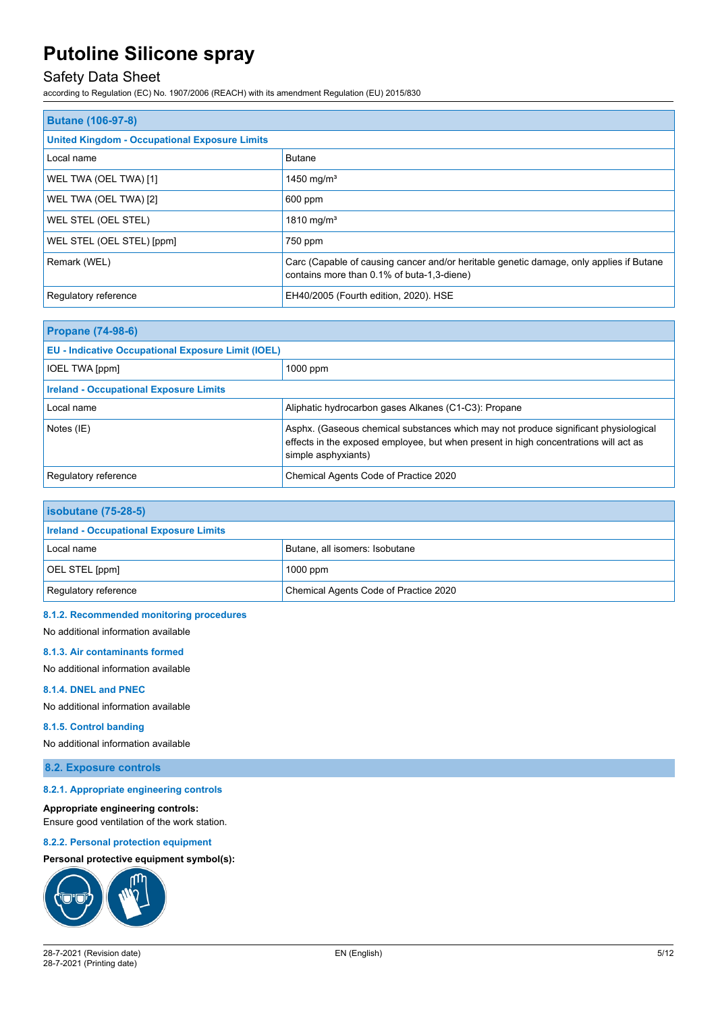# Safety Data Sheet

according to Regulation (EC) No. 1907/2006 (REACH) with its amendment Regulation (EU) 2015/830

| <b>Butane (106-97-8)</b>                             |                                                                                                                                       |  |
|------------------------------------------------------|---------------------------------------------------------------------------------------------------------------------------------------|--|
| <b>United Kingdom - Occupational Exposure Limits</b> |                                                                                                                                       |  |
| Local name                                           | <b>Butane</b>                                                                                                                         |  |
| WEL TWA (OEL TWA) [1]                                | 1450 mg/m <sup>3</sup>                                                                                                                |  |
| WEL TWA (OEL TWA) [2]                                | 600 ppm                                                                                                                               |  |
| WEL STEL (OEL STEL)                                  | 1810 mg/m <sup>3</sup>                                                                                                                |  |
| WEL STEL (OEL STEL) [ppm]                            | 750 ppm                                                                                                                               |  |
| Remark (WEL)                                         | Carc (Capable of causing cancer and/or heritable genetic damage, only applies if Butane<br>contains more than 0.1% of buta-1,3-diene) |  |
| Regulatory reference                                 | EH40/2005 (Fourth edition, 2020). HSE                                                                                                 |  |

| <b>Propane (74-98-6)</b>                                  |                                                                                                                                                                                                    |  |
|-----------------------------------------------------------|----------------------------------------------------------------------------------------------------------------------------------------------------------------------------------------------------|--|
| <b>EU - Indicative Occupational Exposure Limit (IOEL)</b> |                                                                                                                                                                                                    |  |
| <b>IOEL TWA [ppm]</b>                                     | $1000$ ppm                                                                                                                                                                                         |  |
| <b>Ireland - Occupational Exposure Limits</b>             |                                                                                                                                                                                                    |  |
| Local name                                                | Aliphatic hydrocarbon gases Alkanes (C1-C3): Propane                                                                                                                                               |  |
| Notes (IE)                                                | Asphx. (Gaseous chemical substances which may not produce significant physiological<br>effects in the exposed employee, but when present in high concentrations will act as<br>simple asphyxiants) |  |
| Regulatory reference                                      | Chemical Agents Code of Practice 2020                                                                                                                                                              |  |

| <b>isobutane (75-28-5)</b>                    |                                       |  |
|-----------------------------------------------|---------------------------------------|--|
| <b>Ireland - Occupational Exposure Limits</b> |                                       |  |
| Local name                                    | Butane, all isomers: Isobutane        |  |
| OEL STEL [ppm]                                | $1000$ ppm                            |  |
| Regulatory reference                          | Chemical Agents Code of Practice 2020 |  |

#### **8.1.2. Recommended monitoring procedures**

No additional information available

#### **8.1.3. Air contaminants formed**

No additional information available

#### **8.1.4. DNEL and PNEC**

No additional information available

#### **8.1.5. Control banding**

No additional information available

**8.2. Exposure controls**

#### **8.2.1. Appropriate engineering controls**

#### **Appropriate engineering controls:**

Ensure good ventilation of the work station.

#### **8.2.2. Personal protection equipment**

#### **Personal protective equipment symbol(s):**

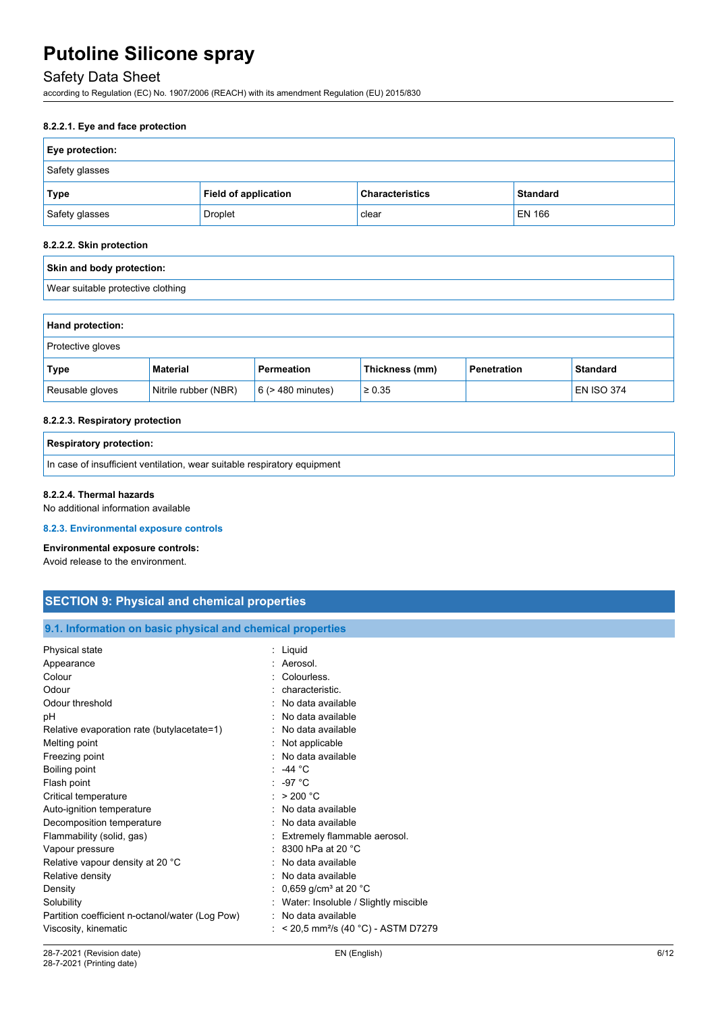# Safety Data Sheet

according to Regulation (EC) No. 1907/2006 (REACH) with its amendment Regulation (EU) 2015/830

#### **8.2.2.1. Eye and face protection**

| <b>Eye protection:</b> |                             |                        |                 |
|------------------------|-----------------------------|------------------------|-----------------|
| Safety glasses         |                             |                        |                 |
| Type                   | <b>Field of application</b> | <b>Characteristics</b> | <b>Standard</b> |
| Safety glasses         | <b>Droplet</b>              | clear                  | EN 166          |

#### **8.2.2.2. Skin protection**

| Skin and body protection:         |                      |                        |                |                    |                   |
|-----------------------------------|----------------------|------------------------|----------------|--------------------|-------------------|
| Wear suitable protective clothing |                      |                        |                |                    |                   |
|                                   |                      |                        |                |                    |                   |
| Hand protection:                  |                      |                        |                |                    |                   |
| Protective gloves                 |                      |                        |                |                    |                   |
| Type                              | <b>Material</b>      | Permeation             | Thickness (mm) | <b>Penetration</b> | <b>Standard</b>   |
| Reusable gloves                   | Nitrile rubber (NBR) | $6$ ( $>$ 480 minutes) | $\geq 0.35$    |                    | <b>EN ISO 374</b> |

#### **8.2.2.3. Respiratory protection**

| <b>Respiratory protection:</b>                                           |
|--------------------------------------------------------------------------|
| In case of insufficient ventilation, wear suitable respiratory equipment |

#### **8.2.2.4. Thermal hazards**

No additional information available

#### **8.2.3. Environmental exposure controls**

### **Environmental exposure controls:**

Avoid release to the environment.

| <b>SECTION 9: Physical and chemical properties</b> |  |
|----------------------------------------------------|--|
|                                                    |  |

**9.1. Information on basic physical and chemical properties**

| Physical state                                  | : Liquid                                           |
|-------------------------------------------------|----------------------------------------------------|
| Appearance                                      | : Aerosol.                                         |
| Colour                                          | : Colourless.                                      |
| Odour                                           | : characteristic.                                  |
| Odour threshold                                 | : No data available                                |
| рH                                              | : No data available                                |
| Relative evaporation rate (butylacetate=1)      | : No data available                                |
| Melting point                                   | : Not applicable                                   |
| Freezing point                                  | : No data available                                |
| Boiling point                                   | : -44 $^{\circ}$ C                                 |
| Flash point                                     | $: -97 °C$                                         |
| Critical temperature                            | : $>200 °C$                                        |
| Auto-ignition temperature                       | : No data available                                |
| Decomposition temperature                       | : No data available                                |
| Flammability (solid, gas)                       | : Extremely flammable aerosol.                     |
| Vapour pressure                                 | : 8300 hPa at 20 $^{\circ}$ C                      |
| Relative vapour density at 20 °C                | : No data available                                |
| Relative density                                | : No data available                                |
| Density                                         | : 0,659 g/cm <sup>3</sup> at 20 °C                 |
| Solubility                                      | Water: Insoluble / Slightly miscible               |
| Partition coefficient n-octanol/water (Log Pow) | : No data available                                |
| Viscosity, kinematic                            | : $<$ 20,5 mm <sup>2</sup> /s (40 °C) - ASTM D7279 |
|                                                 |                                                    |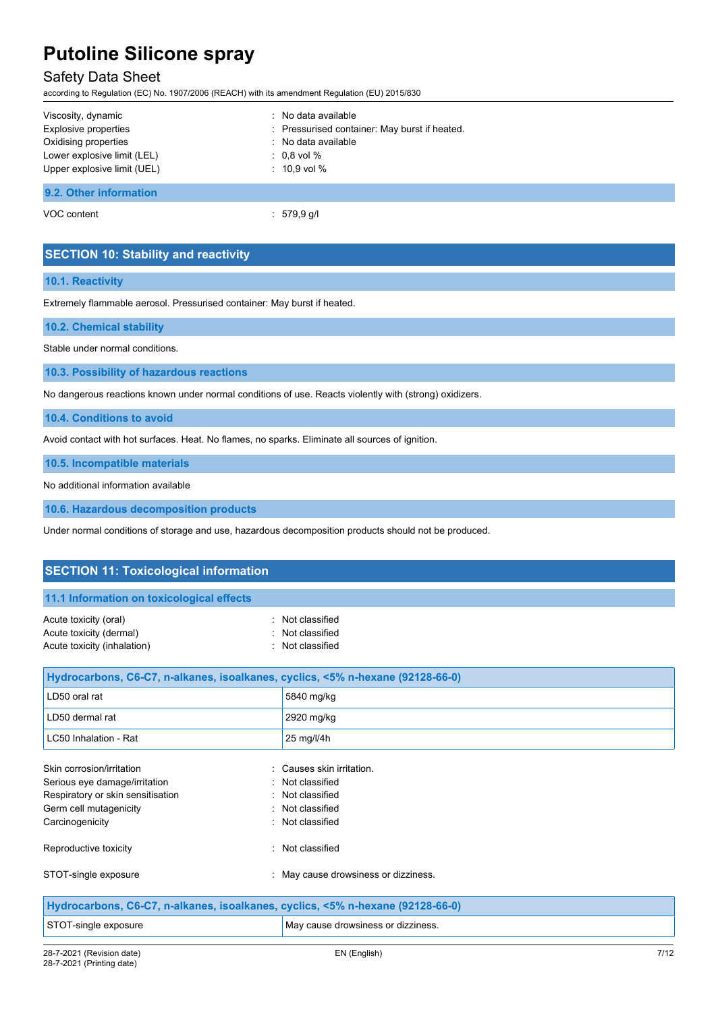### Safety Data Sheet

according to Regulation (EC) No. 1907/2006 (REACH) with its amendment Regulation (EU) 2015/830

| Viscosity, dynamic          | $\therefore$ No data available                |
|-----------------------------|-----------------------------------------------|
| Explosive properties        | : Pressurised container: May burst if heated. |
| Oxidising properties        | : No data available                           |
| Lower explosive limit (LEL) | $: 0.8$ vol $\%$                              |
| Upper explosive limit (UEL) | $: 10.9$ vol %                                |
| 9.2. Other information      |                                               |

VOC content  $\qquad \qquad : \quad 579.9 \text{ g/l}$ 

### **SECTION 10: Stability and reactivity**

#### **10.1. Reactivity**

Extremely flammable aerosol. Pressurised container: May burst if heated.

#### **10.2. Chemical stability**

Stable under normal conditions.

**10.3. Possibility of hazardous reactions**

No dangerous reactions known under normal conditions of use. Reacts violently with (strong) oxidizers.

**10.4. Conditions to avoid**

Avoid contact with hot surfaces. Heat. No flames, no sparks. Eliminate all sources of ignition.

**10.5. Incompatible materials**

No additional information available

**10.6. Hazardous decomposition products**

Under normal conditions of storage and use, hazardous decomposition products should not be produced.

| <b>SECTION 11: Toxicological information</b>                                   |                                    |  |
|--------------------------------------------------------------------------------|------------------------------------|--|
| 11.1 Information on toxicological effects                                      |                                    |  |
| Acute toxicity (oral)<br>Acute toxicity (dermal)                               | Not classified<br>Not classified   |  |
| Acute toxicity (inhalation)                                                    | Not classified                     |  |
| Hydrocarbons, C6-C7, n-alkanes, isoalkanes, cyclics, <5% n-hexane (92128-66-0) |                                    |  |
| LD50 oral rat                                                                  | 5840 mg/kg                         |  |
| LD50 dermal rat                                                                | 2920 mg/kg                         |  |
| LC50 Inhalation - Rat                                                          | 25 mg/l/4h                         |  |
| Skin corrosion/irritation                                                      | Causes skin irritation.            |  |
| Serious eye damage/irritation                                                  | Not classified                     |  |
| Respiratory or skin sensitisation                                              | Not classified                     |  |
| Germ cell mutagenicity                                                         | : Not classified                   |  |
| Carcinogenicity                                                                | Not classified                     |  |
| Reproductive toxicity                                                          | : Not classified                   |  |
| STOT-single exposure                                                           | May cause drowsiness or dizziness. |  |
| Hydrocarbons, C6-C7, n-alkanes, isoalkanes, cyclics, <5% n-hexane (92128-66-0) |                                    |  |
| STOT-single exposure                                                           | May cause drowsiness or dizziness. |  |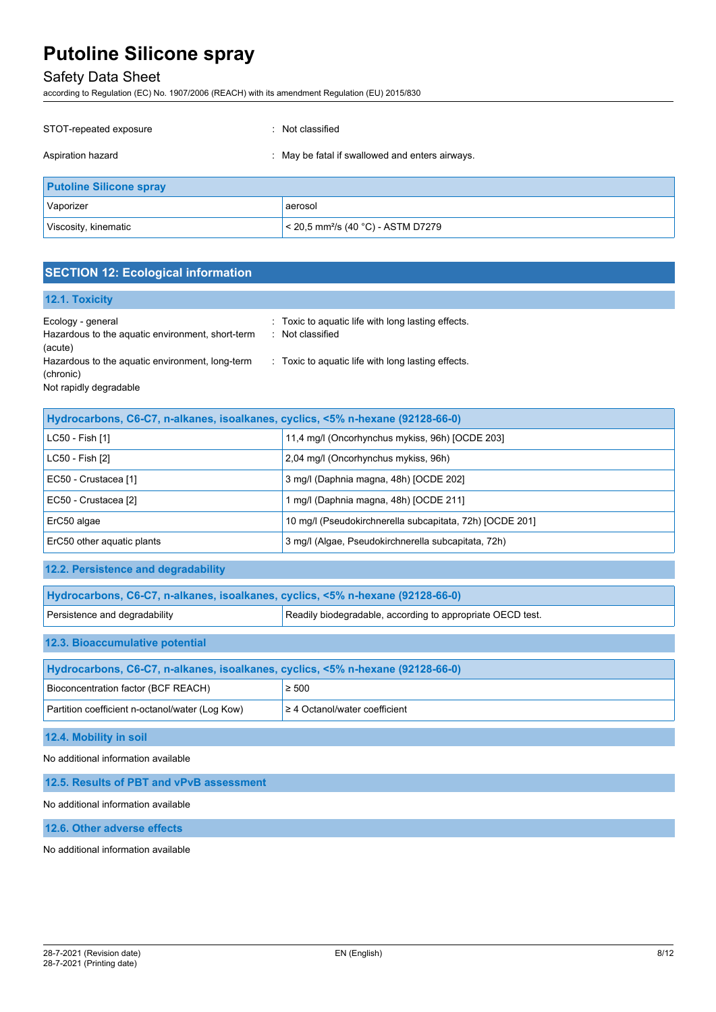# Safety Data Sheet

according to Regulation (EC) No. 1907/2006 (REACH) with its amendment Regulation (EU) 2015/830

| STOT-repeated exposure         | Not classified                                  |
|--------------------------------|-------------------------------------------------|
| Aspiration hazard              | : May be fatal if swallowed and enters airways. |
| <b>Putoline Silicone spray</b> |                                                 |
| Vaporizer                      | aerosol                                         |
| Viscosity, kinematic           | < 20,5 mm <sup>2</sup> /s (40 °C) - ASTM D7279  |

# **SECTION 12: Ecological information**

### **12.1. Toxicity**

| Ecology - general<br>Hazardous to the aquatic environment, short-term | : Toxic to aquatic life with long lasting effects.<br>: Not classified |
|-----------------------------------------------------------------------|------------------------------------------------------------------------|
| (acute)                                                               |                                                                        |
| Hazardous to the aquatic environment, long-term<br>(chronic)          | : Toxic to aquatic life with long lasting effects.                     |
| Not rapidly degradable                                                |                                                                        |

| Hydrocarbons, C6-C7, n-alkanes, isoalkanes, cyclics, <5% n-hexane (92128-66-0) |                                                          |  |
|--------------------------------------------------------------------------------|----------------------------------------------------------|--|
| LC50 - Fish [1]                                                                | 11,4 mg/l (Oncorhynchus mykiss, 96h) [OCDE 203]          |  |
| LC50 - Fish [2]                                                                | 2,04 mg/l (Oncorhynchus mykiss, 96h)                     |  |
| EC50 - Crustacea [1]                                                           | 3 mg/l (Daphnia magna, 48h) [OCDE 202]                   |  |
| EC50 - Crustacea [2]                                                           | mq/l (Daphnia magna, 48h) [OCDE 211]                     |  |
| ErC50 algae                                                                    | 10 mg/l (Pseudokirchnerella subcapitata, 72h) [OCDE 201] |  |
| ErC50 other aquatic plants                                                     | 3 mg/l (Algae, Pseudokirchnerella subcapitata, 72h)      |  |

### **12.2. Persistence and degradability**

| Hydrocarbons, C6-C7, n-alkanes, isoalkanes, cyclics, <5% n-hexane (92128-66-0)              |  |  |
|---------------------------------------------------------------------------------------------|--|--|
| Readily biodegradable, according to appropriate OECD test.<br>Persistence and degradability |  |  |
| 12.3. Bioaccumulative potential                                                             |  |  |
| Hydrocarbons, C6-C7, n-alkanes, isoalkanes, cyclics, <5% n-hexane (92128-66-0)              |  |  |

| Bioconcentration factor (BCF REACH)             | $\geq 500$                         |
|-------------------------------------------------|------------------------------------|
| Partition coefficient n-octanol/water (Log Kow) | $\geq 4$ Octanol/water coefficient |

**12.4. Mobility in soil**

No additional information available

**12.5. Results of PBT and vPvB assessment**

No additional information available

**12.6. Other adverse effects**

No additional information available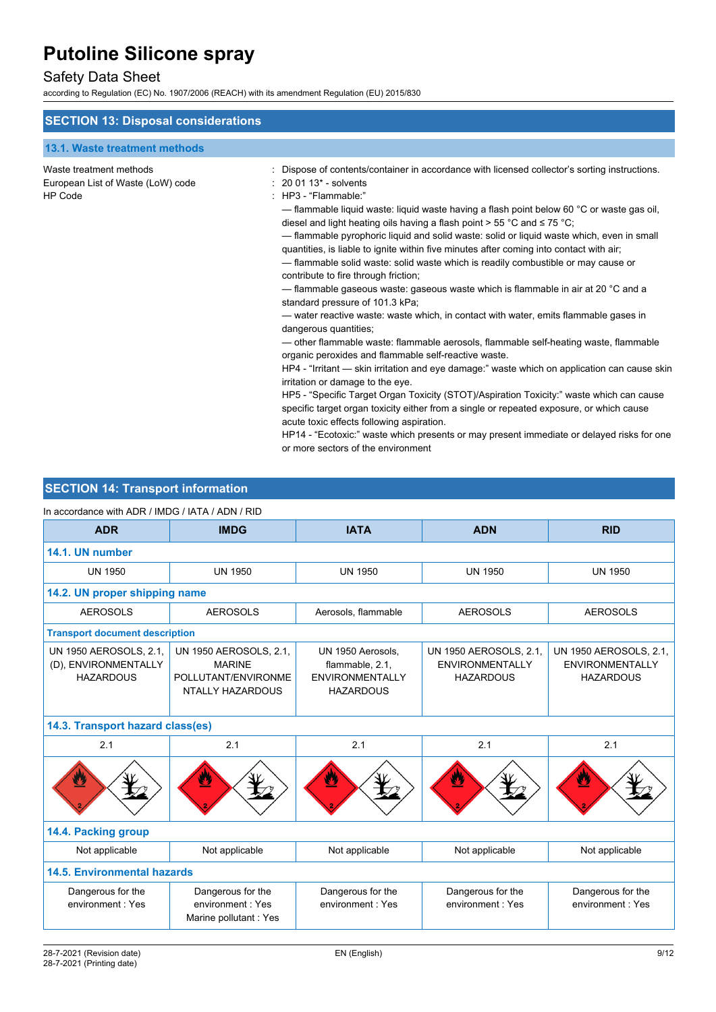# Safety Data Sheet

according to Regulation (EC) No. 1907/2006 (REACH) with its amendment Regulation (EU) 2015/830

| <b>SECTION 13: Disposal considerations</b>                                     |                                                                                                                                                                                                                                                                                                                                                                                                                                                                                                                                                                                                                                                                                                                                                                                                                                                                                                                                                                                                                                                                                                                                                                                                                                                                                                                                                                                                                                                                                                                                                     |
|--------------------------------------------------------------------------------|-----------------------------------------------------------------------------------------------------------------------------------------------------------------------------------------------------------------------------------------------------------------------------------------------------------------------------------------------------------------------------------------------------------------------------------------------------------------------------------------------------------------------------------------------------------------------------------------------------------------------------------------------------------------------------------------------------------------------------------------------------------------------------------------------------------------------------------------------------------------------------------------------------------------------------------------------------------------------------------------------------------------------------------------------------------------------------------------------------------------------------------------------------------------------------------------------------------------------------------------------------------------------------------------------------------------------------------------------------------------------------------------------------------------------------------------------------------------------------------------------------------------------------------------------------|
| 13.1. Waste treatment methods                                                  |                                                                                                                                                                                                                                                                                                                                                                                                                                                                                                                                                                                                                                                                                                                                                                                                                                                                                                                                                                                                                                                                                                                                                                                                                                                                                                                                                                                                                                                                                                                                                     |
| Waste treatment methods<br>European List of Waste (LoW) code<br><b>HP Code</b> | Dispose of contents/container in accordance with licensed collector's sorting instructions.<br>$: 200113$ - solvents<br>: HP3 - "Flammable."<br>— flammable liquid waste: liquid waste having a flash point below 60 °C or waste gas oil,<br>diesel and light heating oils having a flash point > 55 °C and $\leq$ 75 °C;<br>- flammable pyrophoric liquid and solid waste: solid or liquid waste which, even in small<br>quantities, is liable to ignite within five minutes after coming into contact with air;<br>- flammable solid waste: solid waste which is readily combustible or may cause or<br>contribute to fire through friction;<br>— flammable gaseous waste: gaseous waste which is flammable in air at 20 °C and a<br>standard pressure of 101.3 kPa;<br>— water reactive waste: waste which, in contact with water, emits flammable gases in<br>dangerous quantities;<br>— other flammable waste: flammable aerosols, flammable self-heating waste, flammable<br>organic peroxides and flammable self-reactive waste.<br>HP4 - "Irritant — skin irritation and eye damage:" waste which on application can cause skin<br>irritation or damage to the eye.<br>HP5 - "Specific Target Organ Toxicity (STOT)/Aspiration Toxicity:" waste which can cause<br>specific target organ toxicity either from a single or repeated exposure, or which cause<br>acute toxic effects following aspiration.<br>HP14 - "Ecotoxic:" waste which presents or may present immediate or delayed risks for one<br>or more sectors of the environment |

# **SECTION 14: Transport information**

| In accordance with ADR / IMDG / IATA / ADN / RID                   |                                                                                    |                                                                                    |                                                                      |                                                                      |
|--------------------------------------------------------------------|------------------------------------------------------------------------------------|------------------------------------------------------------------------------------|----------------------------------------------------------------------|----------------------------------------------------------------------|
| <b>ADR</b>                                                         | <b>IMDG</b>                                                                        | <b>IATA</b>                                                                        | <b>ADN</b>                                                           | <b>RID</b>                                                           |
| 14.1. UN number                                                    |                                                                                    |                                                                                    |                                                                      |                                                                      |
| <b>UN 1950</b>                                                     | <b>UN 1950</b>                                                                     | <b>UN 1950</b>                                                                     | <b>UN 1950</b>                                                       | <b>UN 1950</b>                                                       |
|                                                                    | 14.2. UN proper shipping name                                                      |                                                                                    |                                                                      |                                                                      |
| <b>AEROSOLS</b>                                                    | <b>AEROSOLS</b>                                                                    | Aerosols, flammable                                                                | <b>AEROSOLS</b>                                                      | <b>AEROSOLS</b>                                                      |
| <b>Transport document description</b>                              |                                                                                    |                                                                                    |                                                                      |                                                                      |
| UN 1950 AEROSOLS, 2.1,<br>(D), ENVIRONMENTALLY<br><b>HAZARDOUS</b> | UN 1950 AEROSOLS, 2.1,<br><b>MARINE</b><br>POLLUTANT/ENVIRONME<br>NTALLY HAZARDOUS | UN 1950 Aerosols,<br>flammable, 2.1,<br><b>ENVIRONMENTALLY</b><br><b>HAZARDOUS</b> | UN 1950 AEROSOLS, 2.1,<br><b>ENVIRONMENTALLY</b><br><b>HAZARDOUS</b> | UN 1950 AEROSOLS, 2.1,<br><b>ENVIRONMENTALLY</b><br><b>HAZARDOUS</b> |
| 14.3. Transport hazard class(es)                                   |                                                                                    |                                                                                    |                                                                      |                                                                      |
| 2.1                                                                | 2.1                                                                                | 2.1                                                                                | 2.1                                                                  | 2.1                                                                  |
|                                                                    |                                                                                    | Ľ                                                                                  |                                                                      |                                                                      |
| 14.4. Packing group                                                |                                                                                    |                                                                                    |                                                                      |                                                                      |
| Not applicable                                                     | Not applicable                                                                     | Not applicable                                                                     | Not applicable                                                       | Not applicable                                                       |
|                                                                    | <b>14.5. Environmental hazards</b>                                                 |                                                                                    |                                                                      |                                                                      |
| Dangerous for the<br>environment: Yes                              | Dangerous for the<br>environment: Yes<br>Marine pollutant: Yes                     | Dangerous for the<br>environment: Yes                                              | Dangerous for the<br>environment: Yes                                | Dangerous for the<br>environment: Yes                                |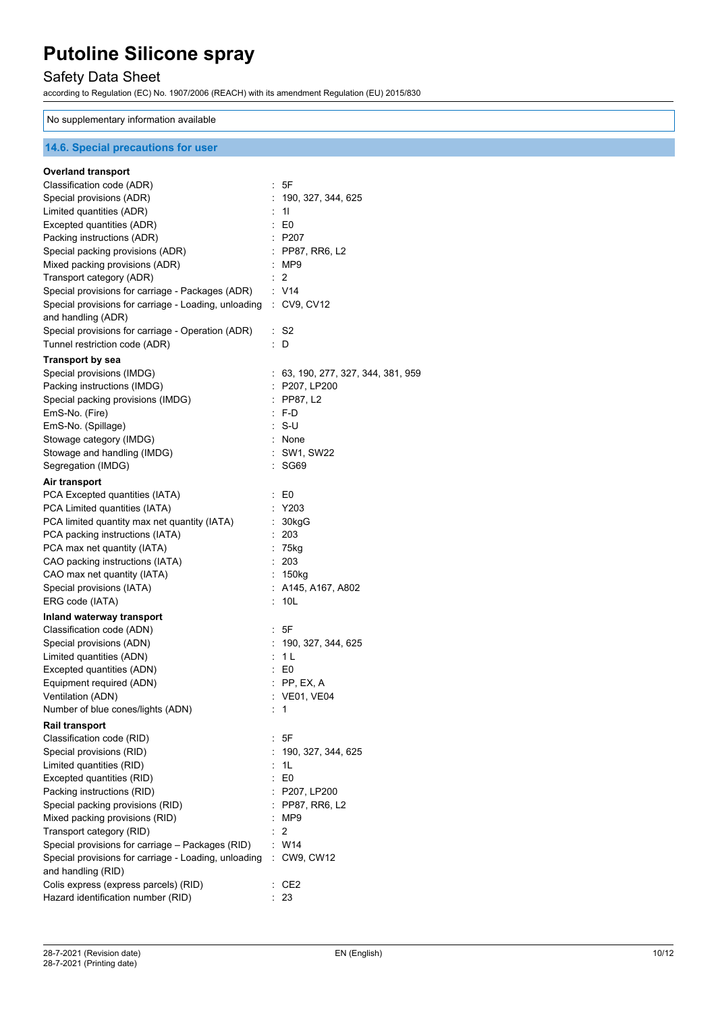# Safety Data Sheet

according to Regulation (EC) No. 1907/2006 (REACH) with its amendment Regulation (EU) 2015/830

### No supplementary information available

### **14.6. Special precautions for user**

| <b>Overland transport</b>                                        |                             |                                    |
|------------------------------------------------------------------|-----------------------------|------------------------------------|
| Classification code (ADR)                                        |                             | : 5F                               |
| Special provisions (ADR)                                         |                             | 190, 327, 344, 625                 |
| Limited quantities (ADR)                                         | $\mathcal{L}_{\mathcal{A}}$ | 11                                 |
| Excepted quantities (ADR)                                        |                             | $\pm 50$                           |
| Packing instructions (ADR)                                       |                             | : P207                             |
| Special packing provisions (ADR)                                 |                             | : PP87, RR6, L2                    |
| Mixed packing provisions (ADR)                                   |                             | :MP9                               |
| Transport category (ADR)                                         |                             | 2                                  |
| Special provisions for carriage - Packages (ADR)                 |                             | : V14                              |
| Special provisions for carriage - Loading, unloading : CV9, CV12 |                             |                                    |
| and handling (ADR)                                               |                             |                                    |
| Special provisions for carriage - Operation (ADR)                |                             | : S2                               |
| Tunnel restriction code (ADR)                                    | ÷.                          | D                                  |
| <b>Transport by sea</b>                                          |                             |                                    |
| Special provisions (IMDG)                                        |                             | : 63, 190, 277, 327, 344, 381, 959 |
| Packing instructions (IMDG)                                      |                             | $:$ P207, LP200                    |
| Special packing provisions (IMDG)                                |                             | $:$ PP87, L2                       |
| EmS-No. (Fire)                                                   |                             | $\cdot$ F-D                        |
| EmS-No. (Spillage)                                               |                             | ∴ S-U                              |
| Stowage category (IMDG)                                          |                             | $:$ None                           |
| Stowage and handling (IMDG)                                      |                             | : SW1, SW22                        |
| Segregation (IMDG)                                               |                             | : SG69                             |
| Air transport                                                    |                             |                                    |
| PCA Excepted quantities (IATA)                                   |                             | $\therefore$ EO                    |
| PCA Limited quantities (IATA)                                    |                             | $:$ Y203                           |
| PCA limited quantity max net quantity (IATA)                     |                             | 30kgG                              |
| PCA packing instructions (IATA)                                  |                             | : 203                              |
| PCA max net quantity (IATA)                                      |                             | $: 75$ kg                          |
| CAO packing instructions (IATA)                                  |                             | : 203                              |
| CAO max net quantity (IATA)                                      |                             | : 150kg                            |
| Special provisions (IATA)                                        |                             | $:$ A145, A167, A802               |
| ERG code (IATA)                                                  |                             | 10 <sub>L</sub>                    |
| Inland waterway transport                                        |                             |                                    |
| Classification code (ADN)                                        |                             | : 5F                               |
| Special provisions (ADN)                                         |                             | : 190, 327, 344, 625               |
| Limited quantities (ADN)                                         |                             | : 1L                               |
| Excepted quantities (ADN)                                        |                             | $\pm 50$                           |
| Equipment required (ADN)                                         |                             | $:$ PP, EX, A                      |
| Ventilation (ADN)                                                |                             | : VE01, VE04                       |
| Number of blue cones/lights (ADN)                                |                             | 1                                  |
|                                                                  |                             |                                    |
| Rail transport                                                   |                             |                                    |
| Classification code (RID)                                        |                             | 5F                                 |
| Special provisions (RID)                                         |                             | 190, 327, 344, 625                 |
| Limited quantities (RID)                                         |                             | : 1L                               |
| Excepted quantities (RID)                                        |                             | $\therefore$ EO                    |
| Packing instructions (RID)                                       |                             | : P207, LP200                      |
| Special packing provisions (RID)                                 |                             | : PP87, RR6, L2                    |
| Mixed packing provisions (RID)                                   |                             | MP9                                |
| Transport category (RID)                                         |                             | 2                                  |
| Special provisions for carriage - Packages (RID)                 |                             | W14                                |
| Special provisions for carriage - Loading, unloading             |                             | : CW9, CW12                        |
| and handling (RID)                                               |                             |                                    |
| Colis express (express parcels) (RID)                            |                             | CE <sub>2</sub>                    |
| Hazard identification number (RID)                               |                             | 23                                 |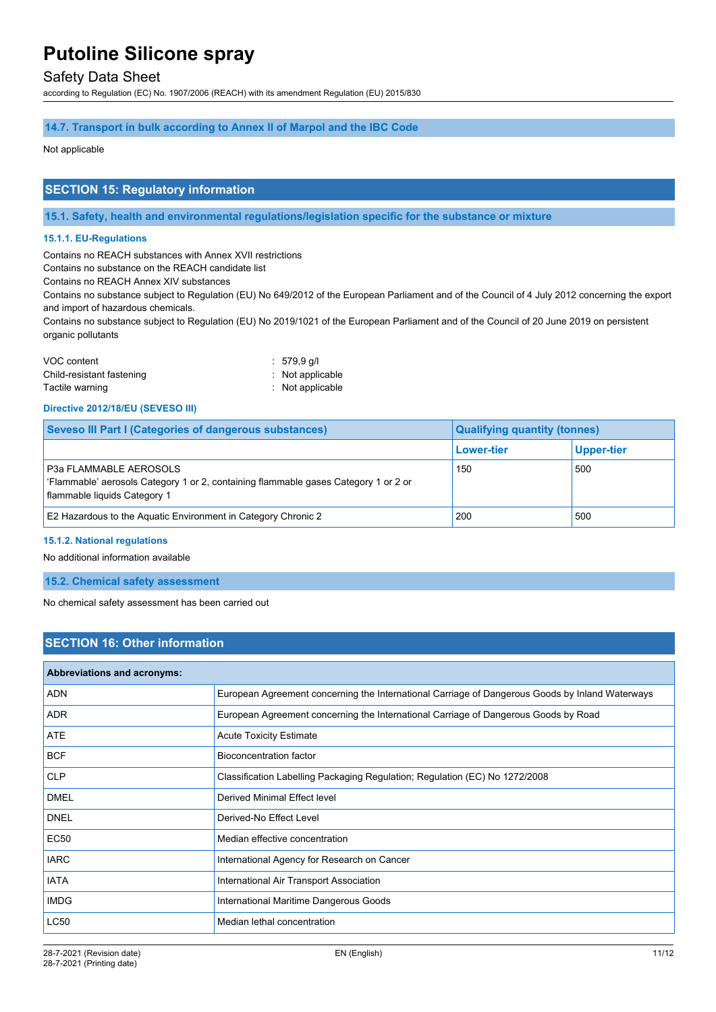### Safety Data Sheet

according to Regulation (EC) No. 1907/2006 (REACH) with its amendment Regulation (EU) 2015/830

#### **14.7. Transport in bulk according to Annex II of Marpol and the IBC Code**

#### Not applicable

#### **SECTION 15: Regulatory information**

**15.1. Safety, health and environmental regulations/legislation specific for the substance or mixture**

#### **15.1.1. EU-Regulations**

Contains no REACH substances with Annex XVII restrictions

Contains no substance on the REACH candidate list

Contains no REACH Annex XIV substances

Contains no substance subject to Regulation (EU) No 649/2012 of the European Parliament and of the Council of 4 July 2012 concerning the export and import of hazardous chemicals.

Contains no substance subject to Regulation (EU) No 2019/1021 of the European Parliament and of the Council of 20 June 2019 on persistent organic pollutants

| VOC content               | $: 579.9$ q/l               |
|---------------------------|-----------------------------|
| Child-resistant fastening | $\therefore$ Not applicable |
| Tactile warning           | $:$ Not applicable          |

#### **Directive 2012/18/EU (SEVESO III)**

| Seveso III Part I (Categories of dangerous substances)                                                                                               | <b>Qualifying quantity (tonnes)</b> |            |
|------------------------------------------------------------------------------------------------------------------------------------------------------|-------------------------------------|------------|
|                                                                                                                                                      | <b>Lower-tier</b>                   | Upper-tier |
| <b>P3a FLAMMABLE AEROSOLS</b><br>'Flammable' aerosols Category 1 or 2, containing flammable gases Category 1 or 2 or<br>flammable liquids Category 1 | 150                                 | 500        |
| E2 Hazardous to the Aquatic Environment in Category Chronic 2                                                                                        | 200                                 | 500        |

#### **15.1.2. National regulations**

No additional information available

### **15.2. Chemical safety assessment**

No chemical safety assessment has been carried out

### **SECTION 16: Other information**

| Abbreviations and acronyms: |                                                                                                 |
|-----------------------------|-------------------------------------------------------------------------------------------------|
| <b>ADN</b>                  | European Agreement concerning the International Carriage of Dangerous Goods by Inland Waterways |
| <b>ADR</b>                  | European Agreement concerning the International Carriage of Dangerous Goods by Road             |
| <b>ATE</b>                  | <b>Acute Toxicity Estimate</b>                                                                  |
| <b>BCF</b>                  | Bioconcentration factor                                                                         |
| <b>CLP</b>                  | Classification Labelling Packaging Regulation; Regulation (EC) No 1272/2008                     |
| <b>DMEL</b>                 | Derived Minimal Effect level                                                                    |
| <b>DNEL</b>                 | Derived-No Effect Level                                                                         |
| <b>EC50</b>                 | Median effective concentration                                                                  |
| <b>IARC</b>                 | International Agency for Research on Cancer                                                     |
| <b>IATA</b>                 | International Air Transport Association                                                         |
| <b>IMDG</b>                 | International Maritime Dangerous Goods                                                          |
| <b>LC50</b>                 | Median lethal concentration                                                                     |